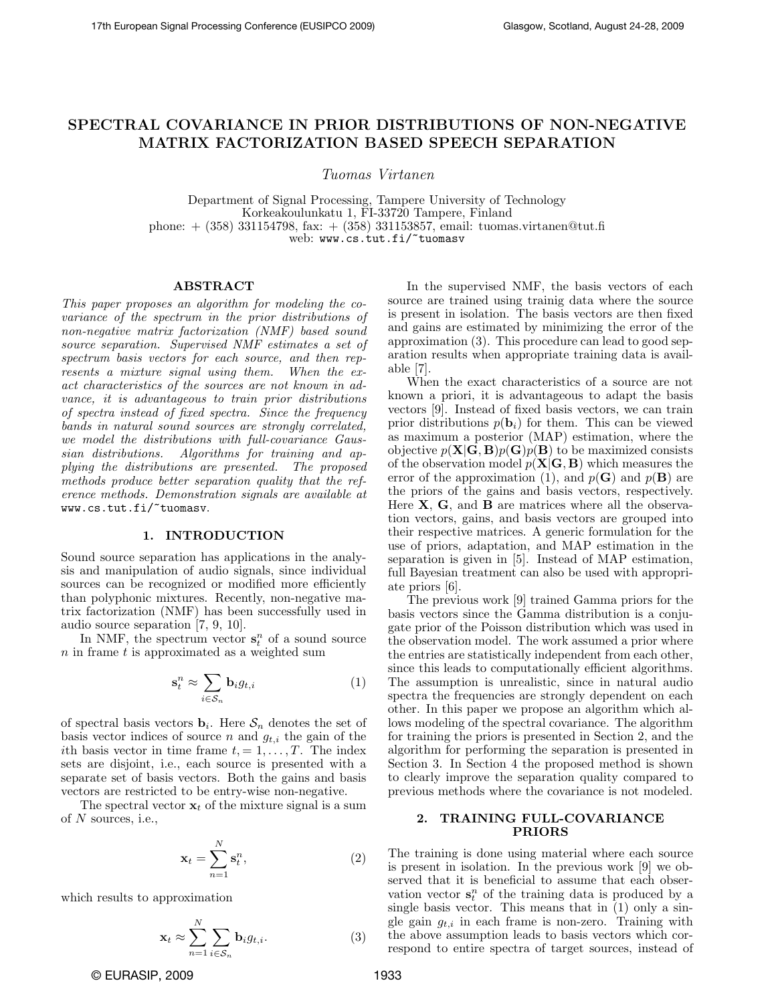# SPECTRAL COVARIANCE IN PRIOR DISTRIBUTIONS OF NON-NEGATIVE MATRIX FACTORIZATION BASED SPEECH SEPARATION

Tuomas Virtanen

Department of Signal Processing, Tampere University of Technology Korkeakoulunkatu 1, FI-33720 Tampere, Finland phone: + (358) 331154798, fax: + (358) 331153857, email: tuomas.virtanen@tut.fi web: www.cs.tut.fi/~tuomasv

# ABSTRACT

This paper proposes an algorithm for modeling the covariance of the spectrum in the prior distributions of non-negative matrix factorization (NMF) based sound source separation. Supervised NMF estimates a set of spectrum basis vectors for each source, and then represents a mixture signal using them. When the exact characteristics of the sources are not known in advance, it is advantageous to train prior distributions of spectra instead of fixed spectra. Since the frequency bands in natural sound sources are strongly correlated, we model the distributions with full-covariance Gaussian distributions. Algorithms for training and applying the distributions are presented. The proposed methods produce better separation quality that the reference methods. Demonstration signals are available at www.cs.tut.fi/~tuomasv.

# 1. INTRODUCTION

Sound source separation has applications in the analysis and manipulation of audio signals, since individual sources can be recognized or modified more efficiently than polyphonic mixtures. Recently, non-negative matrix factorization (NMF) has been successfully used in audio source separation [7, 9, 10].

In NMF, the spectrum vector  $s_t^n$  of a sound source  $n$  in frame  $t$  is approximated as a weighted sum

$$
\mathbf{s}_t^n \approx \sum_{i \in \mathcal{S}_n} \mathbf{b}_i g_{t,i} \tag{1}
$$

of spectral basis vectors  $\mathbf{b}_i$ . Here  $\mathcal{S}_n$  denotes the set of basis vector indices of source n and  $g_{t,i}$  the gain of the ith basis vector in time frame  $t = 1, \ldots, T$ . The index sets are disjoint, i.e., each source is presented with a separate set of basis vectors. Both the gains and basis vectors are restricted to be entry-wise non-negative.

The spectral vector  $x_t$  of the mixture signal is a sum of  $N$  sources, i.e.,

$$
\mathbf{x}_t = \sum_{n=1}^N \mathbf{s}_t^n,\tag{2}
$$

which results to approximation

$$
\mathbf{x}_t \approx \sum_{n=1}^N \sum_{i \in S_n} \mathbf{b}_i g_{t,i}.
$$
 (3)

In the supervised NMF, the basis vectors of each source are trained using trainig data where the source is present in isolation. The basis vectors are then fixed and gains are estimated by minimizing the error of the approximation (3). This procedure can lead to good separation results when appropriate training data is available [7].

When the exact characteristics of a source are not known a priori, it is advantageous to adapt the basis vectors [9]. Instead of fixed basis vectors, we can train prior distributions  $p(\mathbf{b}_i)$  for them. This can be viewed as maximum a posterior (MAP) estimation, where the objective  $p(\mathbf{X}|\mathbf{G}, \mathbf{B})p(\mathbf{G})p(\mathbf{B})$  to be maximized consists of the observation model  $p(X|G, B)$  which measures the error of the approximation (1), and  $p(\mathbf{G})$  and  $p(\mathbf{B})$  are the priors of the gains and basis vectors, respectively. Here  $X$ ,  $G$ , and  $B$  are matrices where all the observation vectors, gains, and basis vectors are grouped into their respective matrices. A generic formulation for the use of priors, adaptation, and MAP estimation in the separation is given in [5]. Instead of MAP estimation, full Bayesian treatment can also be used with appropriate priors [6].

The previous work [9] trained Gamma priors for the basis vectors since the Gamma distribution is a conjugate prior of the Poisson distribution which was used in the observation model. The work assumed a prior where the entries are statistically independent from each other, since this leads to computationally efficient algorithms. The assumption is unrealistic, since in natural audio spectra the frequencies are strongly dependent on each other. In this paper we propose an algorithm which allows modeling of the spectral covariance. The algorithm for training the priors is presented in Section 2, and the algorithm for performing the separation is presented in Section 3. In Section 4 the proposed method is shown to clearly improve the separation quality compared to previous methods where the covariance is not modeled.

# 2. TRAINING FULL-COVARIANCE PRIORS

The training is done using material where each source is present in isolation. In the previous work [9] we observed that it is beneficial to assume that each observation vector  $\mathbf{s}_t^n$  of the training data is produced by a single basis vector. This means that in (1) only a single gain  $q_{t,i}$  in each frame is non-zero. Training with the above assumption leads to basis vectors which correspond to entire spectra of target sources, instead of

© EURASIP, 2009 1933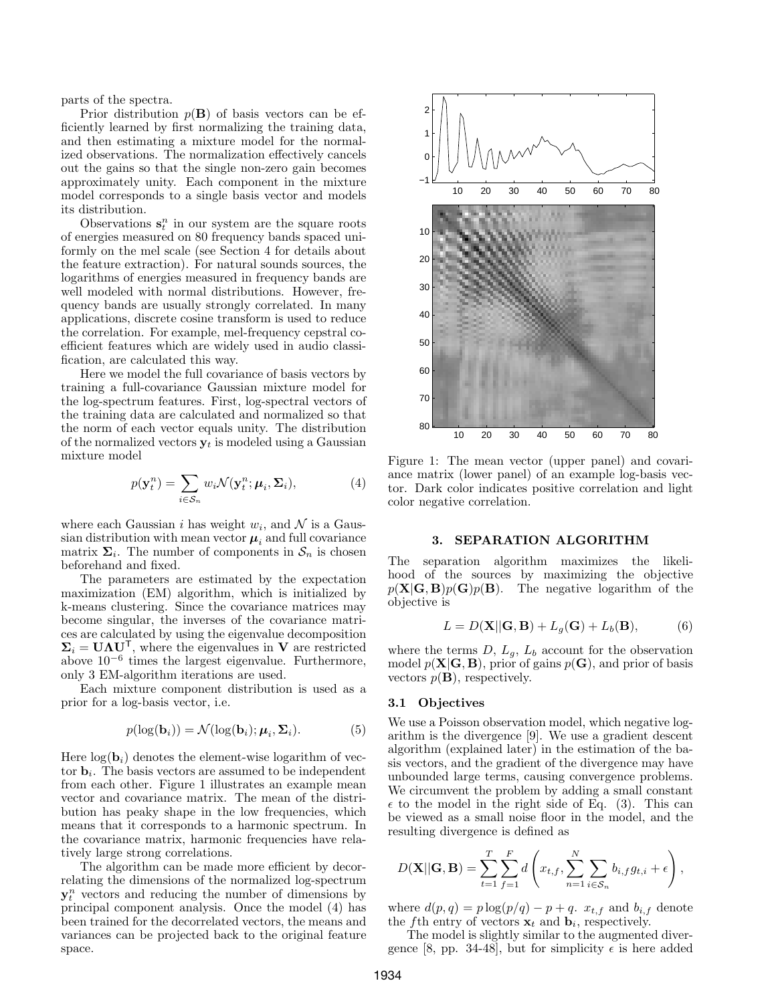parts of the spectra.

Prior distribution  $p(\mathbf{B})$  of basis vectors can be efficiently learned by first normalizing the training data, and then estimating a mixture model for the normalized observations. The normalization effectively cancels out the gains so that the single non-zero gain becomes approximately unity. Each component in the mixture model corresponds to a single basis vector and models its distribution.

Observations  $\mathbf{s}_t^n$  in our system are the square roots of energies measured on 80 frequency bands spaced uniformly on the mel scale (see Section 4 for details about the feature extraction). For natural sounds sources, the logarithms of energies measured in frequency bands are well modeled with normal distributions. However, frequency bands are usually strongly correlated. In many applications, discrete cosine transform is used to reduce the correlation. For example, mel-frequency cepstral coefficient features which are widely used in audio classification, are calculated this way.

Here we model the full covariance of basis vectors by training a full-covariance Gaussian mixture model for the log-spectrum features. First, log-spectral vectors of the training data are calculated and normalized so that the norm of each vector equals unity. The distribution of the normalized vectors  $y_t$  is modeled using a Gaussian mixture model

$$
p(\mathbf{y}_t^n) = \sum_{i \in \mathcal{S}_n} w_i \mathcal{N}(\mathbf{y}_t^n; \boldsymbol{\mu}_i, \boldsymbol{\Sigma}_i),
$$
 (4)

where each Gaussian *i* has weight  $w_i$ , and  $\mathcal N$  is a Gaussian distribution with mean vector  $\mu_i$  and full covariance matrix  $\Sigma_i$ . The number of components in  $S_n$  is chosen beforehand and fixed.

The parameters are estimated by the expectation maximization (EM) algorithm, which is initialized by k-means clustering. Since the covariance matrices may become singular, the inverses of the covariance matrices are calculated by using the eigenvalue decomposition  $\Sigma_i = \mathbf{U} \mathbf{\Lambda} \mathbf{U}^\mathsf{T}$ , where the eigenvalues in **V** are restricted above 10−<sup>6</sup> times the largest eigenvalue. Furthermore, only 3 EM-algorithm iterations are used.

Each mixture component distribution is used as a prior for a log-basis vector, i.e.

$$
p(\log(\mathbf{b}_i)) = \mathcal{N}(\log(\mathbf{b}_i); \boldsymbol{\mu}_i, \boldsymbol{\Sigma}_i). \tag{5}
$$

Here  $log(\mathbf{b}_i)$  denotes the element-wise logarithm of vector  $\mathbf{b}_i$ . The basis vectors are assumed to be independent from each other. Figure 1 illustrates an example mean vector and covariance matrix. The mean of the distribution has peaky shape in the low frequencies, which means that it corresponds to a harmonic spectrum. In the covariance matrix, harmonic frequencies have relatively large strong correlations.

The algorithm can be made more efficient by decorrelating the dimensions of the normalized log-spectrum  $y_t^n$  vectors and reducing the number of dimensions by principal component analysis. Once the model (4) has been trained for the decorrelated vectors, the means and variances can be projected back to the original feature space.



Figure 1: The mean vector (upper panel) and covariance matrix (lower panel) of an example log-basis vector. Dark color indicates positive correlation and light color negative correlation.

# 3. SEPARATION ALGORITHM

The separation algorithm maximizes the likelihood of the sources by maximizing the objective  $p(X|G, B)p(G)p(B)$ . The negative logarithm of the objective is

$$
L = D(\mathbf{X}||\mathbf{G}, \mathbf{B}) + L_g(\mathbf{G}) + L_b(\mathbf{B}),
$$
 (6)

where the terms  $D, L_q, L_b$  account for the observation model  $p(X|G, B)$ , prior of gains  $p(G)$ , and prior of basis vectors  $p(\mathbf{B})$ , respectively.

# 3.1 Objectives

We use a Poisson observation model, which negative logarithm is the divergence [9]. We use a gradient descent algorithm (explained later) in the estimation of the basis vectors, and the gradient of the divergence may have unbounded large terms, causing convergence problems. We circumvent the problem by adding a small constant  $\epsilon$  to the model in the right side of Eq. (3). This can be viewed as a small noise floor in the model, and the resulting divergence is defined as

$$
D(\mathbf{X}||\mathbf{G}, \mathbf{B}) = \sum_{t=1}^{T} \sum_{f=1}^{F} d\left(x_{t,f}, \sum_{n=1}^{N} \sum_{i \in S_n} b_{i,f} g_{t,i} + \epsilon\right),
$$

where  $d(p,q) = p \log(p/q) - p + q$ .  $x_{t,f}$  and  $b_{i,f}$  denote the fth entry of vectors  $\mathbf{x}_t$  and  $\mathbf{b}_i$ , respectively.

The model is slightly similar to the augmented divergence [8, pp. 34-48], but for simplicity  $\epsilon$  is here added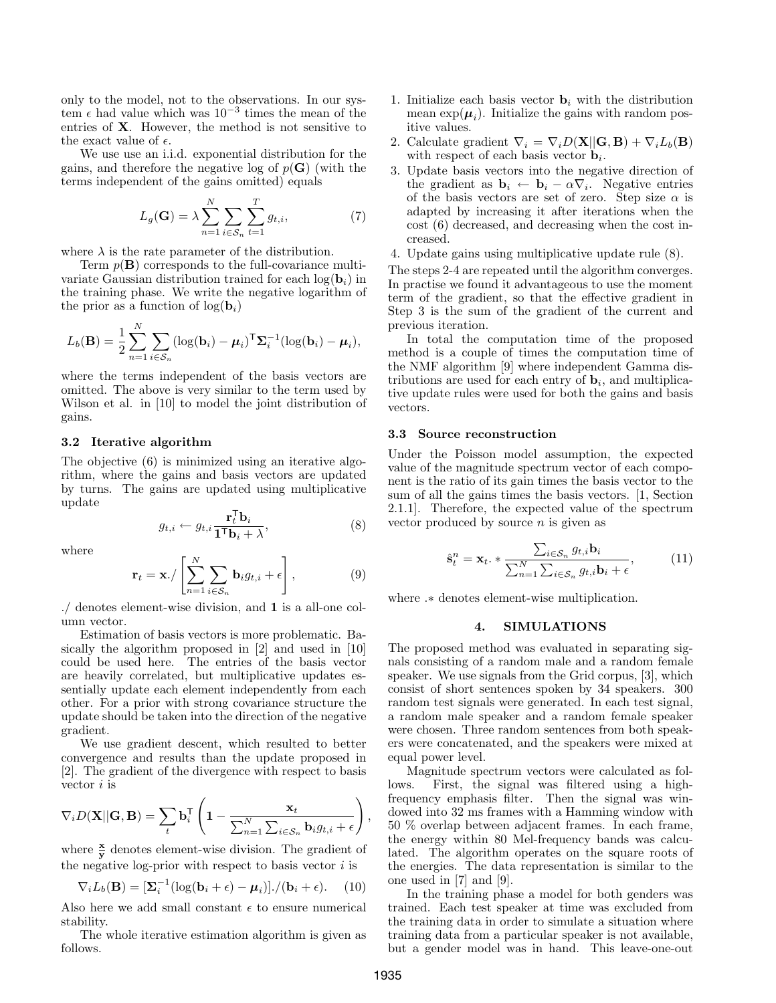only to the model, not to the observations. In our system  $\epsilon$  had value which was 10<sup>-3</sup> times the mean of the entries of X. However, the method is not sensitive to the exact value of  $\epsilon$ .

We use use an i.i.d. exponential distribution for the gains, and therefore the negative log of  $p(G)$  (with the terms independent of the gains omitted) equals

$$
L_g(\mathbf{G}) = \lambda \sum_{n=1}^{N} \sum_{i \in \mathcal{S}_n} \sum_{t=1}^{T} g_{t,i},
$$
\n(7)

where  $\lambda$  is the rate parameter of the distribution.

Term  $p(\mathbf{B})$  corresponds to the full-covariance multivariate Gaussian distribution trained for each  $log(b_i)$  in the training phase. We write the negative logarithm of the prior as a function of  $log(\mathbf{b}_i)$ 

$$
L_b(\mathbf{B}) = \frac{1}{2} \sum_{n=1}^{N} \sum_{i \in \mathcal{S}_n} (\log(\mathbf{b}_i) - \boldsymbol{\mu}_i)^{\mathsf{T}} \boldsymbol{\Sigma}_i^{-1} (\log(\mathbf{b}_i) - \boldsymbol{\mu}_i),
$$

where the terms independent of the basis vectors are omitted. The above is very similar to the term used by Wilson et al. in [10] to model the joint distribution of gains.

#### 3.2 Iterative algorithm

The objective (6) is minimized using an iterative algorithm, where the gains and basis vectors are updated by turns. The gains are updated using multiplicative update

$$
g_{t,i} \leftarrow g_{t,i} \frac{\mathbf{r}_t^{\mathsf{T}} \mathbf{b}_i}{\mathbf{1}^{\mathsf{T}} \mathbf{b}_i + \lambda},\tag{8}
$$

where

$$
\mathbf{r}_t = \mathbf{x} \cdot / \left[ \sum_{n=1}^N \sum_{i \in \mathcal{S}_n} \mathbf{b}_i g_{t,i} + \epsilon \right],\tag{9}
$$

./ denotes element-wise division, and 1 is a all-one column vector.

Estimation of basis vectors is more problematic. Basically the algorithm proposed in [2] and used in [10] could be used here. The entries of the basis vector are heavily correlated, but multiplicative updates essentially update each element independently from each other. For a prior with strong covariance structure the update should be taken into the direction of the negative gradient.

We use gradient descent, which resulted to better convergence and results than the update proposed in [2]. The gradient of the divergence with respect to basis vector  $i$  is

$$
\nabla_i D(\mathbf{X}||\mathbf{G}, \mathbf{B}) = \sum_t \mathbf{b}_i^\mathsf{T} \left( \mathbf{1} - \frac{\mathbf{x}_t}{\sum_{n=1}^N \sum_{i \in \mathcal{S}_n} \mathbf{b}_i g_{t,i} + \epsilon} \right)
$$

where  $\frac{\mathbf{x}}{\mathbf{y}}$  denotes element-wise division. The gradient of the negative log-prior with respect to basis vector  $i$  is

$$
\nabla_i L_b(\mathbf{B}) = [\Sigma_i^{-1} (\log(\mathbf{b}_i + \epsilon) - \boldsymbol{\mu}_i)] \cdot / (\mathbf{b}_i + \epsilon). \quad (10)
$$

Also here we add small constant  $\epsilon$  to ensure numerical stability.

The whole iterative estimation algorithm is given as follows.

- 1. Initialize each basis vector  $\mathbf{b}_i$  with the distribution mean  $\exp(\mu_i)$ . Initialize the gains with random positive values.
- 2. Calculate gradient  $\nabla_i = \nabla_i D(\mathbf{X}||\mathbf{G}, \mathbf{B}) + \nabla_i L_b(\mathbf{B})$ with respect of each basis vector  $\mathbf{b}_i$ .
- 3. Update basis vectors into the negative direction of the gradient as  $\mathbf{b}_i \leftarrow \mathbf{b}_i - \alpha \nabla_i$ . Negative entries of the basis vectors are set of zero. Step size  $\alpha$  is adapted by increasing it after iterations when the cost (6) decreased, and decreasing when the cost increased.
- 4. Update gains using multiplicative update rule (8).

The steps 2-4 are repeated until the algorithm converges. In practise we found it advantageous to use the moment term of the gradient, so that the effective gradient in Step 3 is the sum of the gradient of the current and previous iteration.

In total the computation time of the proposed method is a couple of times the computation time of the NMF algorithm [9] where independent Gamma distributions are used for each entry of  $\mathbf{b}_i$ , and multiplicative update rules were used for both the gains and basis vectors.

#### 3.3 Source reconstruction

Under the Poisson model assumption, the expected value of the magnitude spectrum vector of each component is the ratio of its gain times the basis vector to the sum of all the gains times the basis vectors. [1, Section 2.1.1]. Therefore, the expected value of the spectrum vector produced by source  $n$  is given as

$$
\hat{\mathbf{s}}_t^n = \mathbf{x}_t \cdot * \frac{\sum_{i \in S_n} g_{t,i} \mathbf{b}_i}{\sum_{n=1}^N \sum_{i \in S_n} g_{t,i} \mathbf{b}_i + \epsilon},\tag{11}
$$

where .∗ denotes element-wise multiplication.

#### 4. SIMULATIONS

The proposed method was evaluated in separating signals consisting of a random male and a random female speaker. We use signals from the Grid corpus, [3], which consist of short sentences spoken by 34 speakers. 300 random test signals were generated. In each test signal, a random male speaker and a random female speaker were chosen. Three random sentences from both speakers were concatenated, and the speakers were mixed at equal power level.

Magnitude spectrum vectors were calculated as follows. First, the signal was filtered using a highfrequency emphasis filter. Then the signal was windowed into 32 ms frames with a Hamming window with 50 % overlap between adjacent frames. In each frame, the energy within 80 Mel-frequency bands was calculated. The algorithm operates on the square roots of the energies. The data representation is similar to the one used in [7] and [9].

In the training phase a model for both genders was trained. Each test speaker at time was excluded from the training data in order to simulate a situation where training data from a particular speaker is not available, but a gender model was in hand. This leave-one-out

,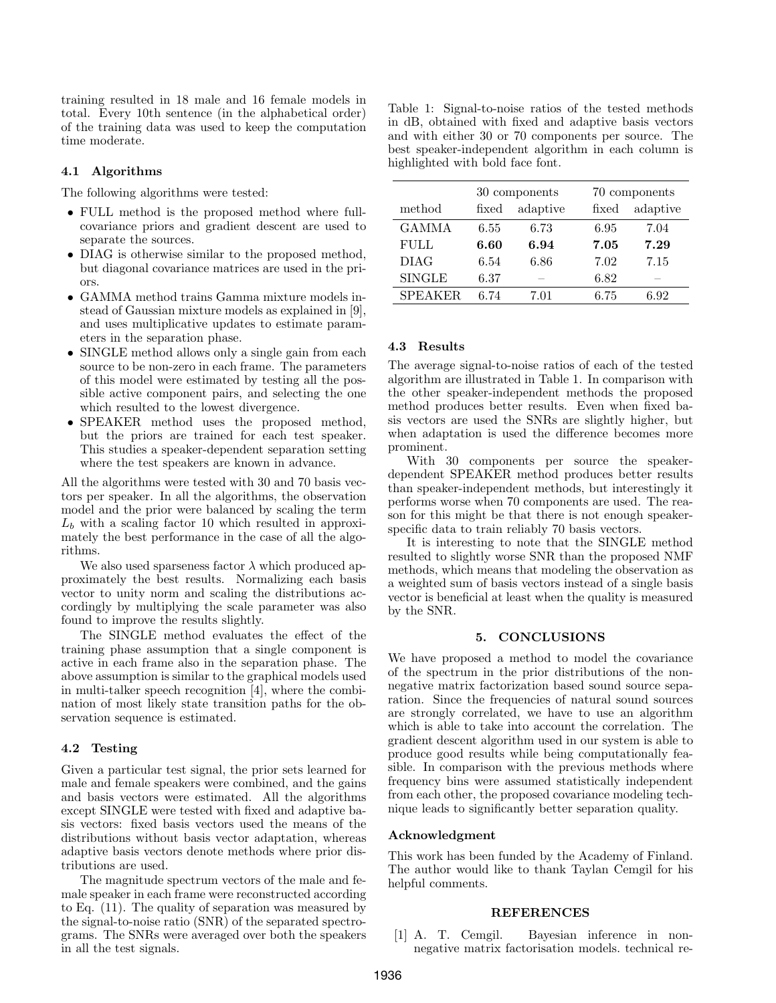training resulted in 18 male and 16 female models in total. Every 10th sentence (in the alphabetical order) of the training data was used to keep the computation time moderate.

# 4.1 Algorithms

The following algorithms were tested:

- FULL method is the proposed method where fullcovariance priors and gradient descent are used to separate the sources.
- DIAG is otherwise similar to the proposed method, but diagonal covariance matrices are used in the priors.
- GAMMA method trains Gamma mixture models instead of Gaussian mixture models as explained in [9], and uses multiplicative updates to estimate parameters in the separation phase.
- SINGLE method allows only a single gain from each source to be non-zero in each frame. The parameters of this model were estimated by testing all the possible active component pairs, and selecting the one which resulted to the lowest divergence.
- SPEAKER method uses the proposed method, but the priors are trained for each test speaker. This studies a speaker-dependent separation setting where the test speakers are known in advance.

All the algorithms were tested with 30 and 70 basis vectors per speaker. In all the algorithms, the observation model and the prior were balanced by scaling the term  $L<sub>b</sub>$  with a scaling factor 10 which resulted in approximately the best performance in the case of all the algorithms.

We also used sparseness factor  $\lambda$  which produced approximately the best results. Normalizing each basis vector to unity norm and scaling the distributions accordingly by multiplying the scale parameter was also found to improve the results slightly.

The SINGLE method evaluates the effect of the training phase assumption that a single component is active in each frame also in the separation phase. The above assumption is similar to the graphical models used in multi-talker speech recognition [4], where the combination of most likely state transition paths for the observation sequence is estimated.

# 4.2 Testing

Given a particular test signal, the prior sets learned for male and female speakers were combined, and the gains and basis vectors were estimated. All the algorithms except SINGLE were tested with fixed and adaptive basis vectors: fixed basis vectors used the means of the distributions without basis vector adaptation, whereas adaptive basis vectors denote methods where prior distributions are used.

The magnitude spectrum vectors of the male and female speaker in each frame were reconstructed according to Eq. (11). The quality of separation was measured by the signal-to-noise ratio (SNR) of the separated spectrograms. The SNRs were averaged over both the speakers in all the test signals.

Table 1: Signal-to-noise ratios of the tested methods in dB, obtained with fixed and adaptive basis vectors and with either 30 or 70 components per source. The best speaker-independent algorithm in each column is highlighted with bold face font.

|                | 30 components |          | 70 components |          |
|----------------|---------------|----------|---------------|----------|
| method         | fixed         | adaptive | fixed         | adaptive |
| <b>GAMMA</b>   | 6.55          | 6.73     | 6.95          | 7.04     |
| <b>FULL</b>    | 6.60          | 6.94     | 7.05          | 7.29     |
| <b>DIAG</b>    | 6.54          | 6.86     | 7.02          | 7.15     |
| <b>SINGLE</b>  | 6.37          | _        | 6.82          | _        |
| <b>SPEAKER</b> | 6.74          | 7.01     | 6.75          | 6.92     |

# 4.3 Results

The average signal-to-noise ratios of each of the tested algorithm are illustrated in Table 1. In comparison with the other speaker-independent methods the proposed method produces better results. Even when fixed basis vectors are used the SNRs are slightly higher, but when adaptation is used the difference becomes more prominent.

With 30 components per source the speakerdependent SPEAKER method produces better results than speaker-independent methods, but interestingly it performs worse when 70 components are used. The reason for this might be that there is not enough speakerspecific data to train reliably 70 basis vectors.

It is interesting to note that the SINGLE method resulted to slightly worse SNR than the proposed NMF methods, which means that modeling the observation as a weighted sum of basis vectors instead of a single basis vector is beneficial at least when the quality is measured by the SNR.

#### 5. CONCLUSIONS

We have proposed a method to model the covariance of the spectrum in the prior distributions of the nonnegative matrix factorization based sound source separation. Since the frequencies of natural sound sources are strongly correlated, we have to use an algorithm which is able to take into account the correlation. The gradient descent algorithm used in our system is able to produce good results while being computationally feasible. In comparison with the previous methods where frequency bins were assumed statistically independent from each other, the proposed covariance modeling technique leads to significantly better separation quality.

# Acknowledgment

This work has been funded by the Academy of Finland. The author would like to thank Taylan Cemgil for his helpful comments.

#### REFERENCES

[1] A. T. Cemgil. Bayesian inference in nonnegative matrix factorisation models. technical re